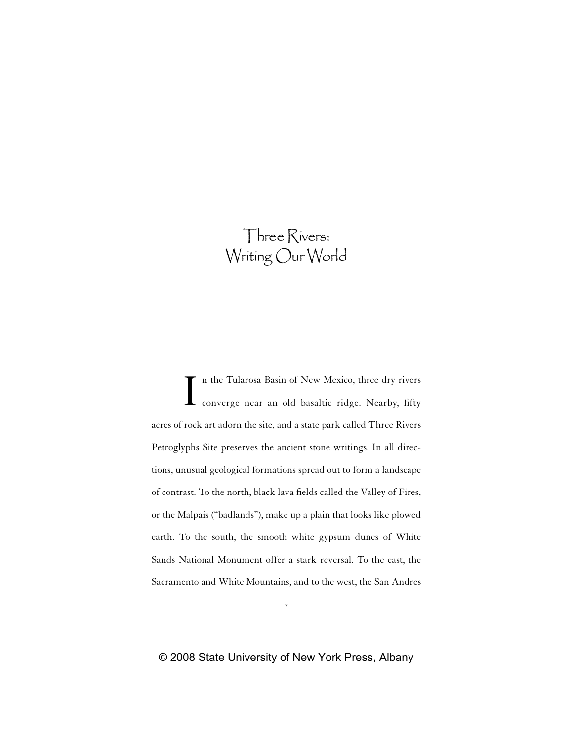# Three Rivers: Writing Our World

n the Tularosa Basin of New Mexico, three dry rivers converge near an old basaltic ridge. Nearby, fifty acres of rock art adorn the site, and a state park called Three Rivers Petroglyphs Site preserves the ancient stone writings. In all directions, unusual geological formations spread out to form a landscape of contrast. To the north, black lava fields called the Valley of Fires, or the Malpais ("badlands"), make up a plain that looks like plowed earth. To the south, the smooth white gypsum dunes of White Sands National Monument offer a stark reversal. To the east, the Sacramento and White Mountains, and to the west, the San Andres I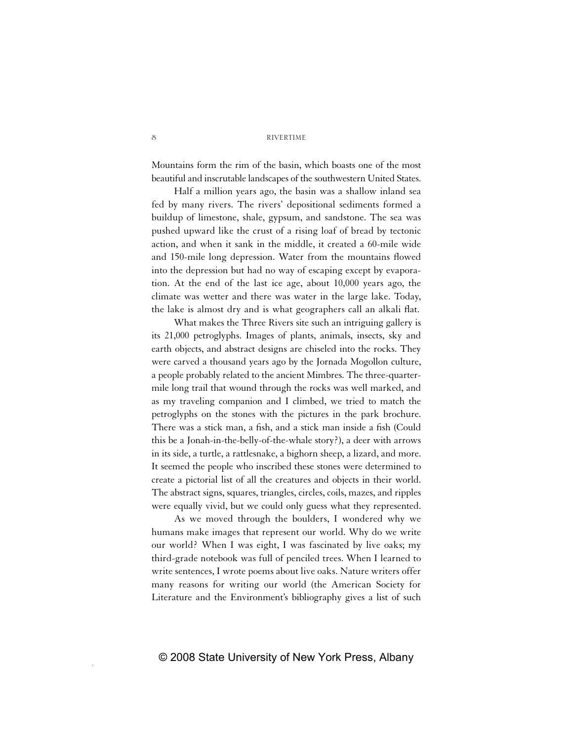Mountains form the rim of the basin, which boasts one of the most beautiful and inscrutable landscapes of the southwestern United States.

Half a million years ago, the basin was a shallow inland sea fed by many rivers. The rivers' depositional sediments formed a buildup of limestone, shale, gypsum, and sandstone. The sea was pushed upward like the crust of a rising loaf of bread by tectonic action, and when it sank in the middle, it created a 60-mile wide and 150-mile long depression. Water from the mountains flowed into the depression but had no way of escaping except by evaporation. At the end of the last ice age, about 10,000 years ago, the climate was wetter and there was water in the large lake. Today, the lake is almost dry and is what geographers call an alkali flat.

What makes the Three Rivers site such an intriguing gallery is its 21,000 petroglyphs. Images of plants, animals, insects, sky and earth objects, and abstract designs are chiseled into the rocks. They were carved a thousand years ago by the Jornada Mogollon culture, a people probably related to the ancient Mimbres. The three-quartermile long trail that wound through the rocks was well marked, and as my traveling companion and I climbed, we tried to match the petroglyphs on the stones with the pictures in the park brochure. There was a stick man, a fish, and a stick man inside a fish (Could this be a Jonah-in-the-belly-of-the-whale story?), a deer with arrows in its side, a turtle, a rattlesnake, a bighorn sheep, a lizard, and more. It seemed the people who inscribed these stones were determined to create a pictorial list of all the creatures and objects in their world. The abstract signs, squares, triangles, circles, coils, mazes, and ripples were equally vivid, but we could only guess what they represented.

As we moved through the boulders, I wondered why we humans make images that represent our world. Why do we write our world? When I was eight, I was fascinated by live oaks; my third-grade notebook was full of penciled trees. When I learned to write sentences, I wrote poems about live oaks. Nature writers offer many reasons for writing our world (the American Society for Literature and the Environment's bibliography gives a list of such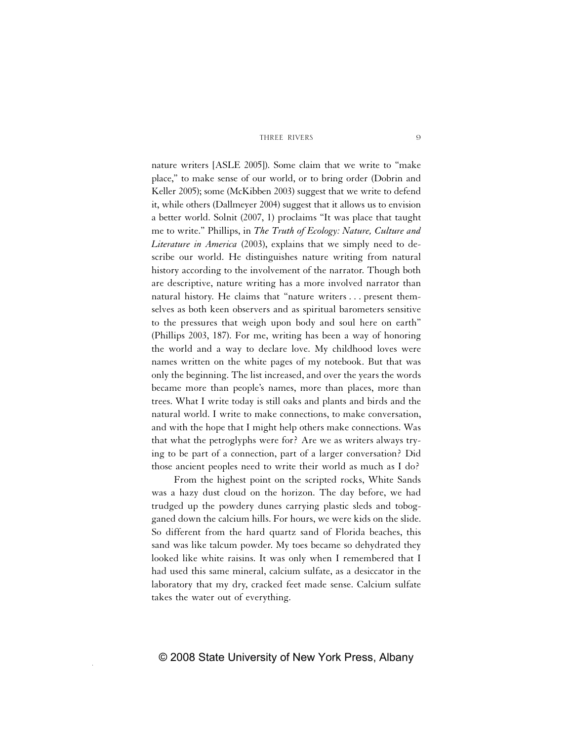### THREE RIVERS 9

nature writers [ASLE 2005]). Some claim that we write to "make place," to make sense of our world, or to bring order (Dobrin and Keller 2005); some (McKibben 2003) suggest that we write to defend it, while others (Dallmeyer 2004) suggest that it allows us to envision a better world. Solnit (2007, 1) proclaims "It was place that taught me to write." Phillips, in *The Truth of Ecology: Nature, Culture and Literature in America* (2003), explains that we simply need to describe our world. He distinguishes nature writing from natural history according to the involvement of the narrator. Though both are descriptive, nature writing has a more involved narrator than natural history. He claims that "nature writers . . . present themselves as both keen observers and as spiritual barometers sensitive to the pressures that weigh upon body and soul here on earth" (Phillips 2003, 187). For me, writing has been a way of honoring the world and a way to declare love. My childhood loves were names written on the white pages of my notebook. But that was only the beginning. The list increased, and over the years the words became more than people's names, more than places, more than trees. What I write today is still oaks and plants and birds and the natural world. I write to make connections, to make conversation, and with the hope that I might help others make connections. Was that what the petroglyphs were for? Are we as writers always trying to be part of a connection, part of a larger conversation? Did those ancient peoples need to write their world as much as I do?

From the highest point on the scripted rocks, White Sands was a hazy dust cloud on the horizon. The day before, we had trudged up the powdery dunes carrying plastic sleds and tobogganed down the calcium hills. For hours, we were kids on the slide. So different from the hard quartz sand of Florida beaches, this sand was like talcum powder. My toes became so dehydrated they looked like white raisins. It was only when I remembered that I had used this same mineral, calcium sulfate, as a desiccator in the laboratory that my dry, cracked feet made sense. Calcium sulfate takes the water out of everything.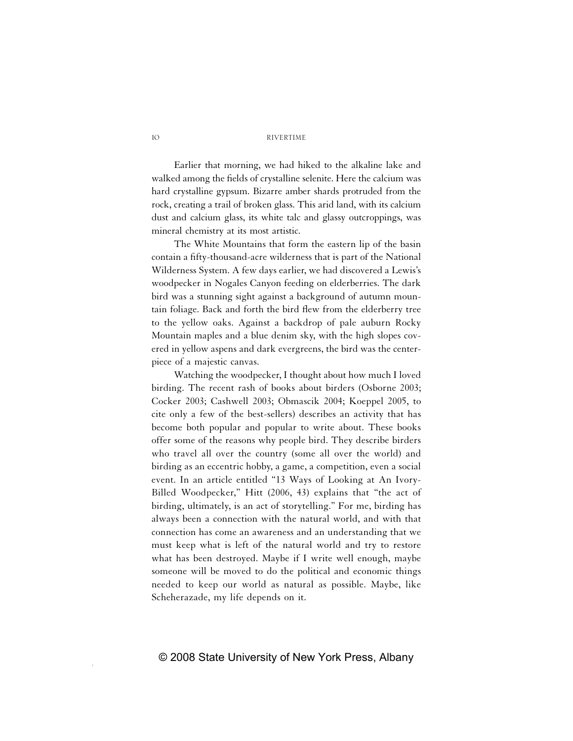Earlier that morning, we had hiked to the alkaline lake and walked among the fields of crystalline selenite. Here the calcium was hard crystalline gypsum. Bizarre amber shards protruded from the rock, creating a trail of broken glass. This arid land, with its calcium dust and calcium glass, its white talc and glassy outcroppings, was mineral chemistry at its most artistic.

The White Mountains that form the eastern lip of the basin contain a fifty-thousand-acre wilderness that is part of the National Wilderness System. A few days earlier, we had discovered a Lewis's woodpecker in Nogales Canyon feeding on elderberries. The dark bird was a stunning sight against a background of autumn mountain foliage. Back and forth the bird flew from the elderberry tree to the yellow oaks. Against a backdrop of pale auburn Rocky Mountain maples and a blue denim sky, with the high slopes covered in yellow aspens and dark evergreens, the bird was the centerpiece of a majestic canvas.

Watching the woodpecker, I thought about how much I loved birding. The recent rash of books about birders (Osborne 2003; Cocker 2003; Cashwell 2003; Obmascik 2004; Koeppel 2005, to cite only a few of the best-sellers) describes an activity that has become both popular and popular to write about. These books offer some of the reasons why people bird. They describe birders who travel all over the country (some all over the world) and birding as an eccentric hobby, a game, a competition, even a social event. In an article entitled "13 Ways of Looking at An Ivory-Billed Woodpecker," Hitt (2006, 43) explains that "the act of birding, ultimately, is an act of storytelling." For me, birding has always been a connection with the natural world, and with that connection has come an awareness and an understanding that we must keep what is left of the natural world and try to restore what has been destroyed. Maybe if I write well enough, maybe someone will be moved to do the political and economic things needed to keep our world as natural as possible. Maybe, like Scheherazade, my life depends on it.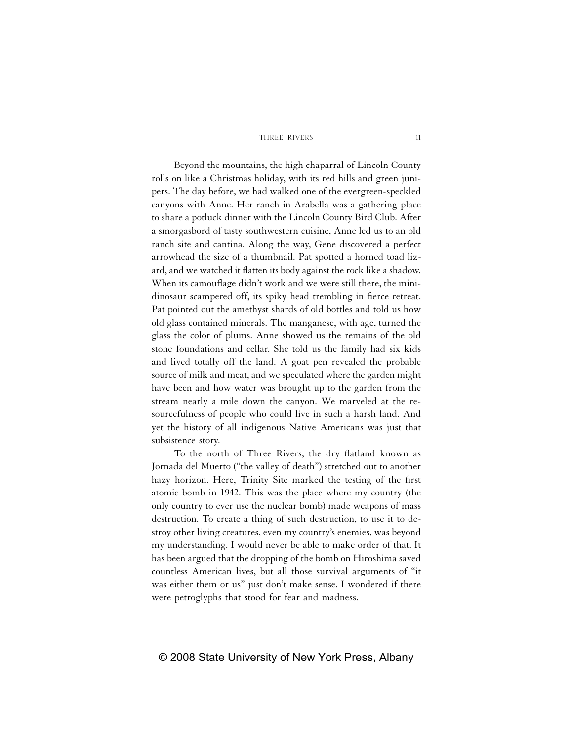## THREE RIVERS 11

Beyond the mountains, the high chaparral of Lincoln County rolls on like a Christmas holiday, with its red hills and green junipers. The day before, we had walked one of the evergreen-speckled canyons with Anne. Her ranch in Arabella was a gathering place to share a potluck dinner with the Lincoln County Bird Club. After a smorgasbord of tasty southwestern cuisine, Anne led us to an old ranch site and cantina. Along the way, Gene discovered a perfect arrowhead the size of a thumbnail. Pat spotted a horned toad lizard, and we watched it flatten its body against the rock like a shadow. When its camouflage didn't work and we were still there, the minidinosaur scampered off, its spiky head trembling in fierce retreat. Pat pointed out the amethyst shards of old bottles and told us how old glass contained minerals. The manganese, with age, turned the glass the color of plums. Anne showed us the remains of the old stone foundations and cellar. She told us the family had six kids and lived totally off the land. A goat pen revealed the probable source of milk and meat, and we speculated where the garden might have been and how water was brought up to the garden from the stream nearly a mile down the canyon. We marveled at the resourcefulness of people who could live in such a harsh land. And yet the history of all indigenous Native Americans was just that subsistence story.

To the north of Three Rivers, the dry flatland known as Jornada del Muerto ("the valley of death") stretched out to another hazy horizon. Here, Trinity Site marked the testing of the first atomic bomb in 1942. This was the place where my country (the only country to ever use the nuclear bomb) made weapons of mass destruction. To create a thing of such destruction, to use it to destroy other living creatures, even my country's enemies, was beyond my understanding. I would never be able to make order of that. It has been argued that the dropping of the bomb on Hiroshima saved countless American lives, but all those survival arguments of "it was either them or us" just don't make sense. I wondered if there were petroglyphs that stood for fear and madness.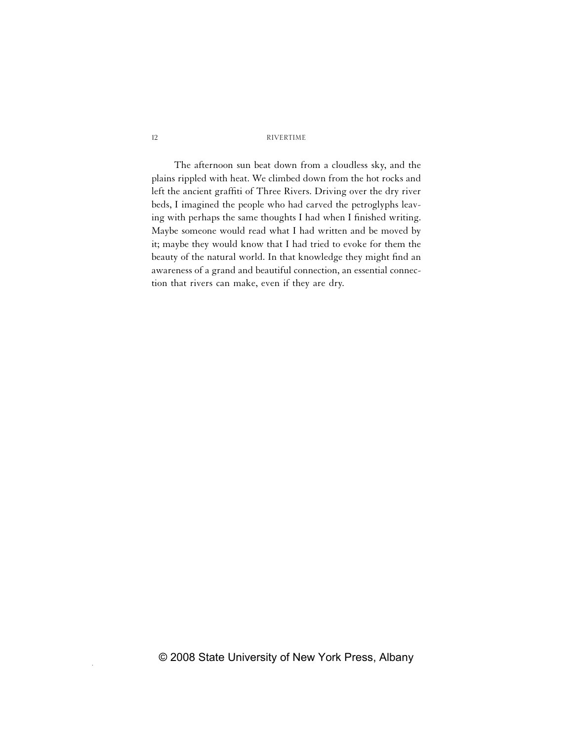The afternoon sun beat down from a cloudless sky, and the plains rippled with heat. We climbed down from the hot rocks and left the ancient graffiti of Three Rivers. Driving over the dry river beds, I imagined the people who had carved the petroglyphs leaving with perhaps the same thoughts I had when I finished writing. Maybe someone would read what I had written and be moved by it; maybe they would know that I had tried to evoke for them the beauty of the natural world. In that knowledge they might find an awareness of a grand and beautiful connection, an essential connection that rivers can make, even if they are dry.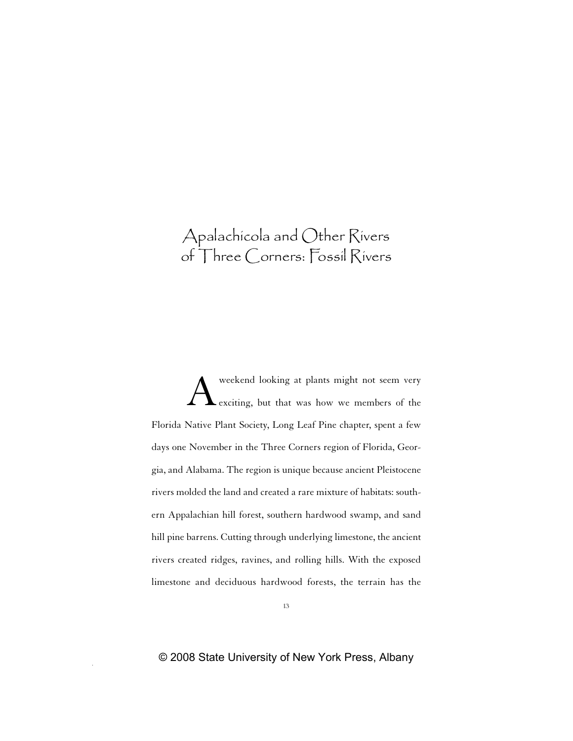# Apalachicola and Other Rivers of Three Corners: Fossil Rivers

weekend looking at plants might not seem very exciting, but that was how we members of the Florida Native Plant Society, Long Leaf Pine chapter, spent a few days one November in the Three Corners region of Florida, Georgia, and Alabama. The region is unique because ancient Pleistocene rivers molded the land and created a rare mixture of habitats: southern Appalachian hill forest, southern hardwood swamp, and sand hill pine barrens. Cutting through underlying limestone, the ancient rivers created ridges, ravines, and rolling hills. With the exposed limestone and deciduous hardwood forests, the terrain has the A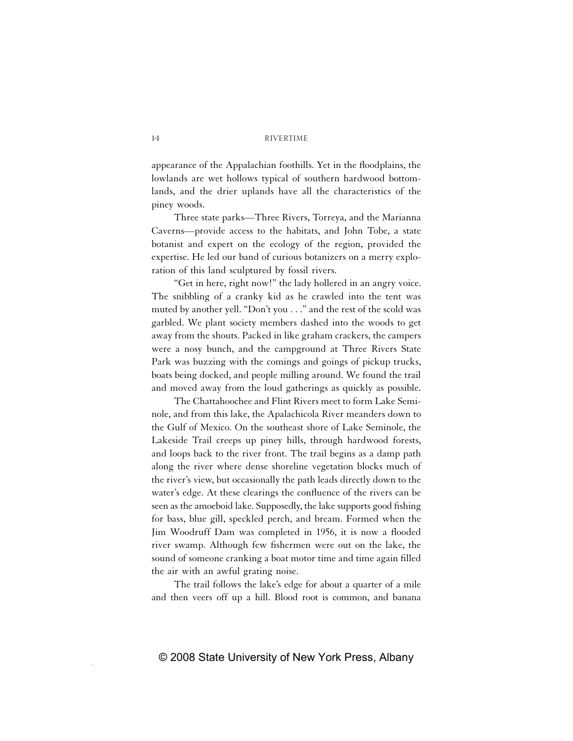appearance of the Appalachian foothills. Yet in the floodplains, the lowlands are wet hollows typical of southern hardwood bottomlands, and the drier uplands have all the characteristics of the piney woods.

Three state parks—Three Rivers, Torreya, and the Marianna Caverns—provide access to the habitats, and John Tobe, a state botanist and expert on the ecology of the region, provided the expertise. He led our band of curious botanizers on a merry exploration of this land sculptured by fossil rivers.

"Get in here, right now!" the lady hollered in an angry voice. The snibbling of a cranky kid as he crawled into the tent was muted by another yell. "Don't you . . ." and the rest of the scold was garbled. We plant society members dashed into the woods to get away from the shouts. Packed in like graham crackers, the campers were a nosy bunch, and the campground at Three Rivers State Park was buzzing with the comings and goings of pickup trucks, boats being docked, and people milling around. We found the trail and moved away from the loud gatherings as quickly as possible.

The Chattahoochee and Flint Rivers meet to form Lake Seminole, and from this lake, the Apalachicola River meanders down to the Gulf of Mexico. On the southeast shore of Lake Seminole, the Lakeside Trail creeps up piney hills, through hardwood forests, and loops back to the river front. The trail begins as a damp path along the river where dense shoreline vegetation blocks much of the river's view, but occasionally the path leads directly down to the water's edge. At these clearings the confluence of the rivers can be seen as the amoeboid lake. Supposedly, the lake supports good fishing for bass, blue gill, speckled perch, and bream. Formed when the Jim Woodruff Dam was completed in 1956, it is now a flooded river swamp. Although few fishermen were out on the lake, the sound of someone cranking a boat motor time and time again filled the air with an awful grating noise.

The trail follows the lake's edge for about a quarter of a mile and then veers off up a hill. Blood root is common, and banana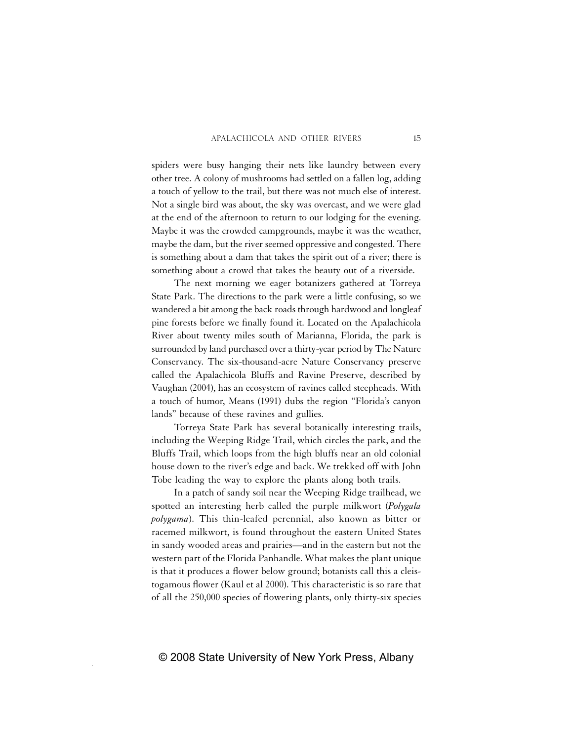spiders were busy hanging their nets like laundry between every other tree. A colony of mushrooms had settled on a fallen log, adding a touch of yellow to the trail, but there was not much else of interest. Not a single bird was about, the sky was overcast, and we were glad at the end of the afternoon to return to our lodging for the evening. Maybe it was the crowded campgrounds, maybe it was the weather, maybe the dam, but the river seemed oppressive and congested. There is something about a dam that takes the spirit out of a river; there is something about a crowd that takes the beauty out of a riverside.

The next morning we eager botanizers gathered at Torreya State Park. The directions to the park were a little confusing, so we wandered a bit among the back roads through hardwood and longleaf pine forests before we finally found it. Located on the Apalachicola River about twenty miles south of Marianna, Florida, the park is surrounded by land purchased over a thirty-year period by The Nature Conservancy. The six-thousand-acre Nature Conservancy preserve called the Apalachicola Bluffs and Ravine Preserve, described by Vaughan (2004), has an ecosystem of ravines called steepheads. With a touch of humor, Means (1991) dubs the region "Florida's canyon lands" because of these ravines and gullies.

Torreya State Park has several botanically interesting trails, including the Weeping Ridge Trail, which circles the park, and the Bluffs Trail, which loops from the high bluffs near an old colonial house down to the river's edge and back. We trekked off with John Tobe leading the way to explore the plants along both trails.

In a patch of sandy soil near the Weeping Ridge trailhead, we spotted an interesting herb called the purple milkwort (*Polygala polygama*). This thin-leafed perennial, also known as bitter or racemed milkwort, is found throughout the eastern United States in sandy wooded areas and prairies—and in the eastern but not the western part of the Florida Panhandle. What makes the plant unique is that it produces a flower below ground; botanists call this a cleistogamous flower (Kaul et al 2000). This characteristic is so rare that of all the 250,000 species of flowering plants, only thirty-six species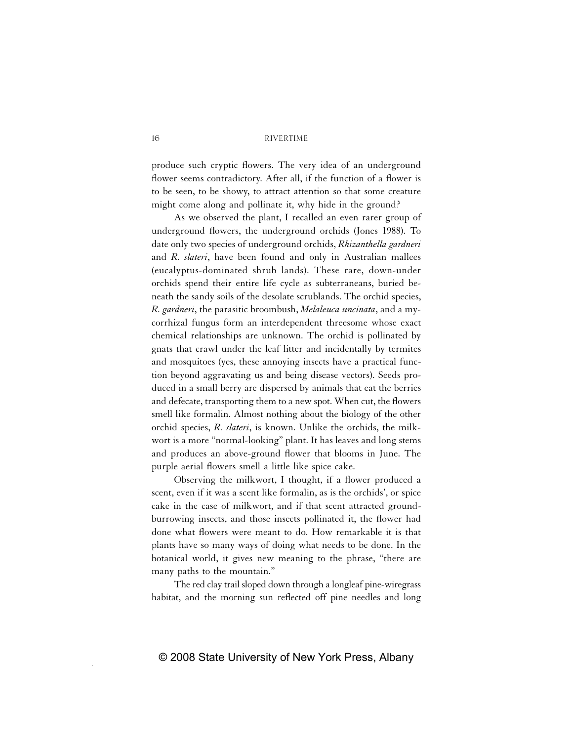produce such cryptic flowers. The very idea of an underground flower seems contradictory. After all, if the function of a flower is to be seen, to be showy, to attract attention so that some creature might come along and pollinate it, why hide in the ground?

As we observed the plant, I recalled an even rarer group of underground flowers, the underground orchids (Jones 1988). To date only two species of underground orchids, *Rhizanthella gardneri* and *R. slateri*, have been found and only in Australian mallees (eucalyptus-dominated shrub lands). These rare, down-under orchids spend their entire life cycle as subterraneans, buried beneath the sandy soils of the desolate scrublands. The orchid species, *R. gardneri*, the parasitic broombush, *Melaleuca uncinata*, and a mycorrhizal fungus form an interdependent threesome whose exact chemical relationships are unknown. The orchid is pollinated by gnats that crawl under the leaf litter and incidentally by termites and mosquitoes (yes, these annoying insects have a practical function beyond aggravating us and being disease vectors). Seeds produced in a small berry are dispersed by animals that eat the berries and defecate, transporting them to a new spot. When cut, the flowers smell like formalin. Almost nothing about the biology of the other orchid species, *R. slateri*, is known. Unlike the orchids, the milkwort is a more "normal-looking" plant. It has leaves and long stems and produces an above-ground flower that blooms in June. The purple aerial flowers smell a little like spice cake.

Observing the milkwort, I thought, if a flower produced a scent, even if it was a scent like formalin, as is the orchids', or spice cake in the case of milkwort, and if that scent attracted groundburrowing insects, and those insects pollinated it, the flower had done what flowers were meant to do. How remarkable it is that plants have so many ways of doing what needs to be done. In the botanical world, it gives new meaning to the phrase, "there are many paths to the mountain."

The red clay trail sloped down through a longleaf pine-wiregrass habitat, and the morning sun reflected off pine needles and long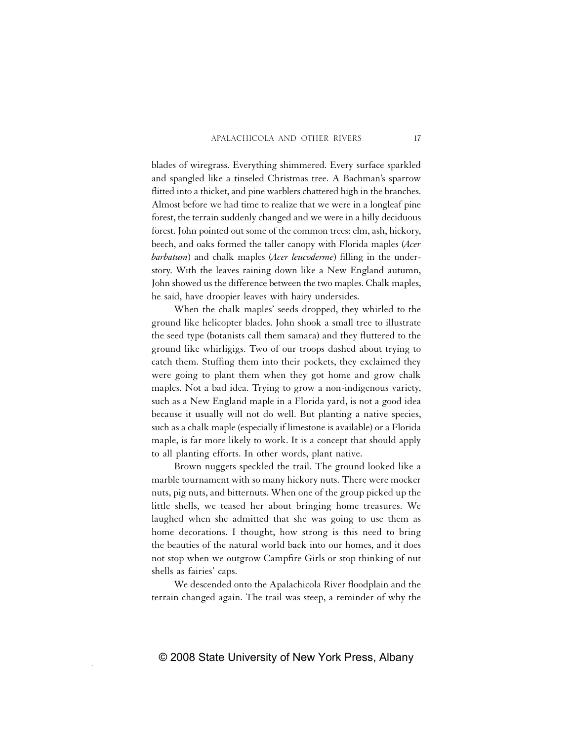blades of wiregrass. Everything shimmered. Every surface sparkled and spangled like a tinseled Christmas tree. A Bachman's sparrow flitted into a thicket, and pine warblers chattered high in the branches. Almost before we had time to realize that we were in a longleaf pine forest, the terrain suddenly changed and we were in a hilly deciduous forest. John pointed out some of the common trees: elm, ash, hickory, beech, and oaks formed the taller canopy with Florida maples (*Acer barbatum*) and chalk maples (*Acer leucoderme*) filling in the understory. With the leaves raining down like a New England autumn, John showed us the difference between the two maples. Chalk maples, he said, have droopier leaves with hairy undersides.

When the chalk maples' seeds dropped, they whirled to the ground like helicopter blades. John shook a small tree to illustrate the seed type (botanists call them samara) and they fluttered to the ground like whirligigs. Two of our troops dashed about trying to catch them. Stuffing them into their pockets, they exclaimed they were going to plant them when they got home and grow chalk maples. Not a bad idea. Trying to grow a non-indigenous variety, such as a New England maple in a Florida yard, is not a good idea because it usually will not do well. But planting a native species, such as a chalk maple (especially if limestone is available) or a Florida maple, is far more likely to work. It is a concept that should apply to all planting efforts. In other words, plant native.

Brown nuggets speckled the trail. The ground looked like a marble tournament with so many hickory nuts. There were mocker nuts, pig nuts, and bitternuts. When one of the group picked up the little shells, we teased her about bringing home treasures. We laughed when she admitted that she was going to use them as home decorations. I thought, how strong is this need to bring the beauties of the natural world back into our homes, and it does not stop when we outgrow Campfire Girls or stop thinking of nut shells as fairies' caps.

We descended onto the Apalachicola River floodplain and the terrain changed again. The trail was steep, a reminder of why the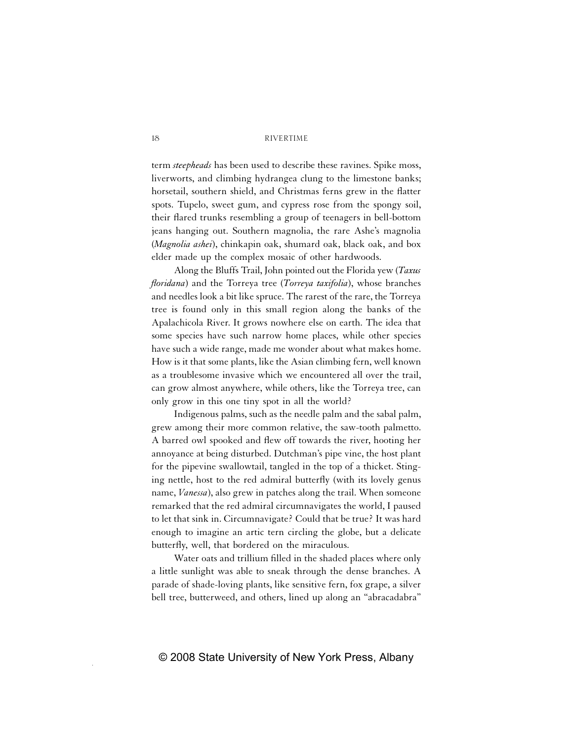term *steepheads* has been used to describe these ravines. Spike moss, liverworts, and climbing hydrangea clung to the limestone banks; horsetail, southern shield, and Christmas ferns grew in the flatter spots. Tupelo, sweet gum, and cypress rose from the spongy soil, their flared trunks resembling a group of teenagers in bell-bottom jeans hanging out. Southern magnolia, the rare Ashe's magnolia (*Magnolia ashei*), chinkapin oak, shumard oak, black oak, and box elder made up the complex mosaic of other hardwoods.

Along the Bluffs Trail, John pointed out the Florida yew (*Taxus floridana*) and the Torreya tree (*Torreya taxifolia*), whose branches and needles look a bit like spruce. The rarest of the rare, the Torreya tree is found only in this small region along the banks of the Apalachicola River. It grows nowhere else on earth. The idea that some species have such narrow home places, while other species have such a wide range, made me wonder about what makes home. How is it that some plants, like the Asian climbing fern, well known as a troublesome invasive which we encountered all over the trail, can grow almost anywhere, while others, like the Torreya tree, can only grow in this one tiny spot in all the world?

Indigenous palms, such as the needle palm and the sabal palm, grew among their more common relative, the saw-tooth palmetto. A barred owl spooked and flew off towards the river, hooting her annoyance at being disturbed. Dutchman's pipe vine, the host plant for the pipevine swallowtail, tangled in the top of a thicket. Stinging nettle, host to the red admiral butterfly (with its lovely genus name, *Vanessa*), also grew in patches along the trail. When someone remarked that the red admiral circumnavigates the world, I paused to let that sink in. Circumnavigate? Could that be true? It was hard enough to imagine an artic tern circling the globe, but a delicate butterfly, well, that bordered on the miraculous.

Water oats and trillium filled in the shaded places where only a little sunlight was able to sneak through the dense branches. A parade of shade-loving plants, like sensitive fern, fox grape, a silver bell tree, butterweed, and others, lined up along an "abracadabra"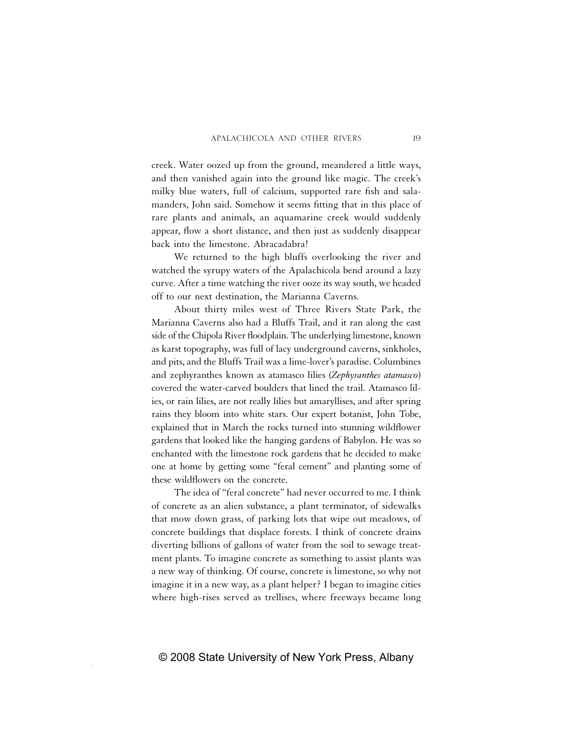creek. Water oozed up from the ground, meandered a little ways, and then vanished again into the ground like magic. The creek's milky blue waters, full of calcium, supported rare fish and salamanders, John said. Somehow it seems fitting that in this place of rare plants and animals, an aquamarine creek would suddenly appear, flow a short distance, and then just as suddenly disappear back into the limestone. Abracadabra!

We returned to the high bluffs overlooking the river and watched the syrupy waters of the Apalachicola bend around a lazy curve. After a time watching the river ooze its way south, we headed off to our next destination, the Marianna Caverns.

About thirty miles west of Three Rivers State Park, the Marianna Caverns also had a Bluffs Trail, and it ran along the east side of the Chipola River floodplain. The underlying limestone, known as karst topography, was full of lacy underground caverns, sinkholes, and pits, and the Bluffs Trail was a lime-lover's paradise. Columbines and zephyranthes known as atamasco lilies (*Zephyranthes atamasco*) covered the water-carved boulders that lined the trail. Atamasco lilies, or rain lilies, are not really lilies but amaryllises, and after spring rains they bloom into white stars. Our expert botanist, John Tobe, explained that in March the rocks turned into stunning wildflower gardens that looked like the hanging gardens of Babylon. He was so enchanted with the limestone rock gardens that he decided to make one at home by getting some "feral cement" and planting some of these wildflowers on the concrete.

The idea of "feral concrete" had never occurred to me. I think of concrete as an alien substance, a plant terminator, of sidewalks that mow down grass, of parking lots that wipe out meadows, of concrete buildings that displace forests. I think of concrete drains diverting billions of gallons of water from the soil to sewage treatment plants. To imagine concrete as something to assist plants was a new way of thinking. Of course, concrete is limestone, so why not imagine it in a new way, as a plant helper? I began to imagine cities where high-rises served as trellises, where freeways became long